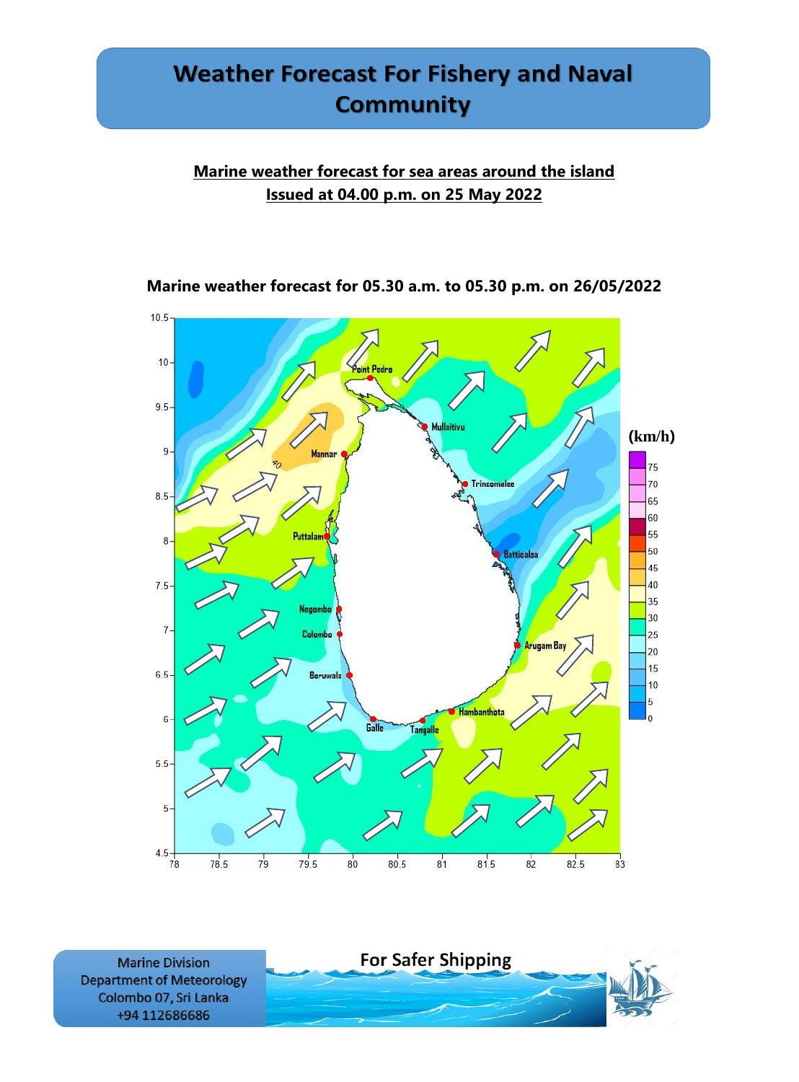### **Marine weather forecast for sea areas around the island Issued at 04.00 p.m. on 25 May 2022**



**Marine weather forecast for 05.30 a.m. to 05.30 p.m. on 26/05/2022**

**Marine Division Department of Meteorology** Colombo 07, Sri Lanka +94 112686686

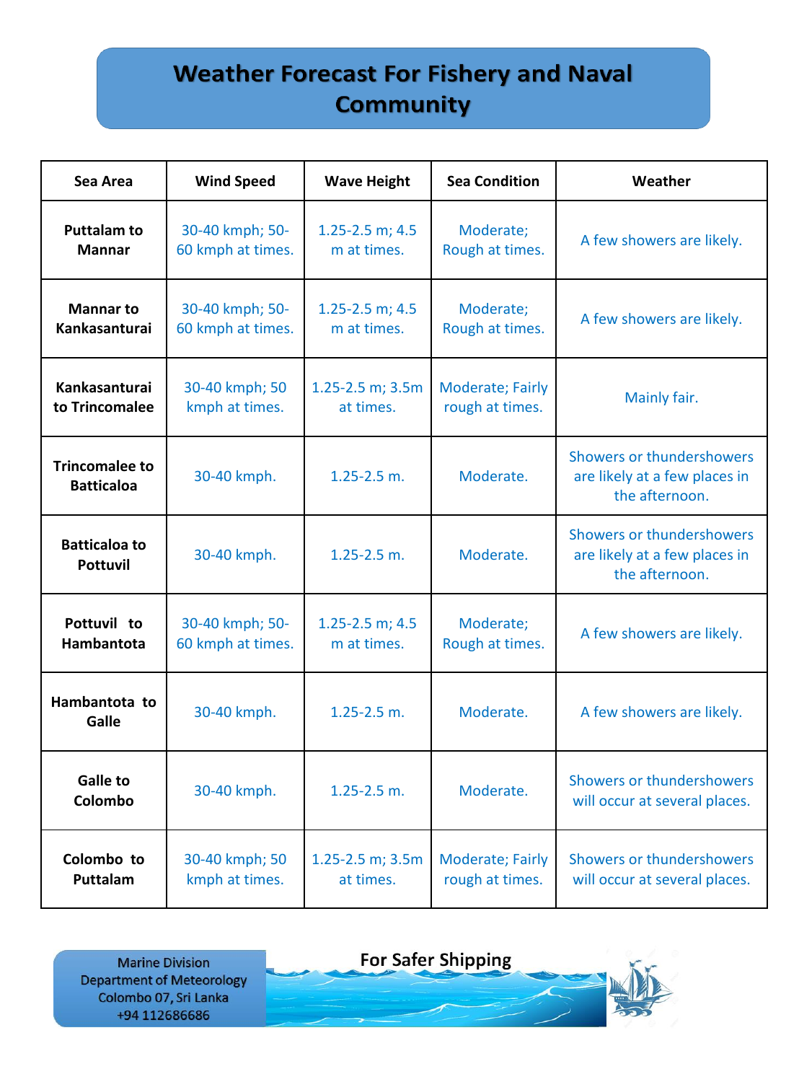| Sea Area                                   | <b>Wind Speed</b> | <b>Wave Height</b>     | <b>Sea Condition</b>    | Weather                                                                      |
|--------------------------------------------|-------------------|------------------------|-------------------------|------------------------------------------------------------------------------|
| <b>Puttalam to</b>                         | 30-40 kmph; 50-   | 1.25-2.5 m; $4.5$      | Moderate;               | A few showers are likely.                                                    |
| <b>Mannar</b>                              | 60 kmph at times. | m at times.            | Rough at times.         |                                                                              |
| <b>Mannar to</b>                           | 30-40 kmph; 50-   | $1.25 - 2.5$ m; 4.5    | Moderate;               | A few showers are likely.                                                    |
| <b>Kankasanturai</b>                       | 60 kmph at times. | m at times.            | Rough at times.         |                                                                              |
| Kankasanturai                              | 30-40 kmph; 50    | 1.25-2.5 m; 3.5m       | <b>Moderate; Fairly</b> | Mainly fair.                                                                 |
| to Trincomalee                             | kmph at times.    | at times.              | rough at times.         |                                                                              |
| <b>Trincomalee to</b><br><b>Batticaloa</b> | 30-40 kmph.       | $1.25 - 2.5$ m.        | Moderate.               | Showers or thundershowers<br>are likely at a few places in<br>the afternoon. |
| <b>Batticaloa to</b><br><b>Pottuvil</b>    | 30-40 kmph.       | $1.25 - 2.5$ m.        | Moderate.               | Showers or thundershowers<br>are likely at a few places in<br>the afternoon. |
| Pottuvil to                                | 30-40 kmph; 50-   | $1.25 - 2.5$ m; 4.5    | Moderate;               | A few showers are likely.                                                    |
| Hambantota                                 | 60 kmph at times. | m at times.            | Rough at times.         |                                                                              |
| Hambantota to<br>Galle                     | 30-40 kmph.       | $1.25 - 2.5$ m.        | Moderate.               | A few showers are likely.                                                    |
| <b>Galle to</b><br>Colombo                 | 30-40 kmph.       | $1.25 - 2.5$ m.        | Moderate.               | Showers or thundershowers<br>will occur at several places.                   |
| Colombo to                                 | 30-40 kmph; 50    | $1.25 - 2.5$ m; $3.5m$ | Moderate; Fairly        | Showers or thundershowers                                                    |
| Puttalam                                   | kmph at times.    | at times.              | rough at times.         | will occur at several places.                                                |

**Marine Division Department of Meteorology** Colombo 07, Sri Lanka +94 112686686

**For Safer Shipping** 

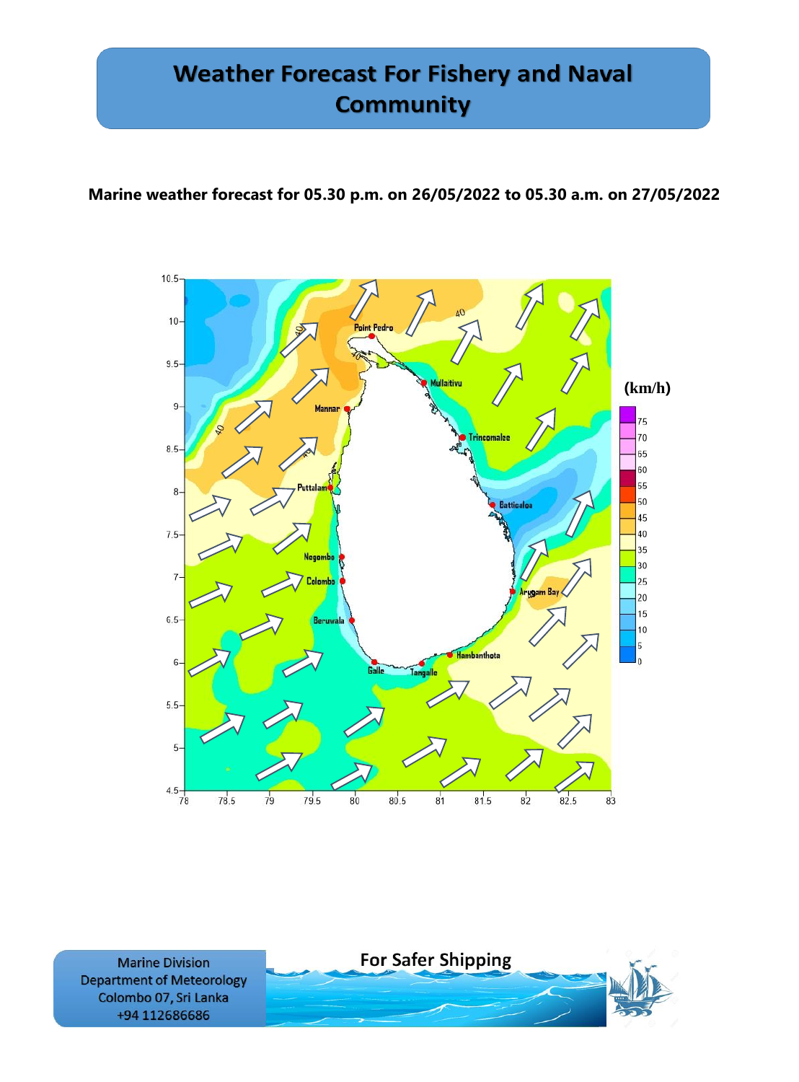### **Marine weather forecast for 05.30 p.m. on 26/05/2022 to 05.30 a.m. on 27/05/2022**



**Marine Division Department of Meteorology** Colombo 07, Sri Lanka +94 112686686